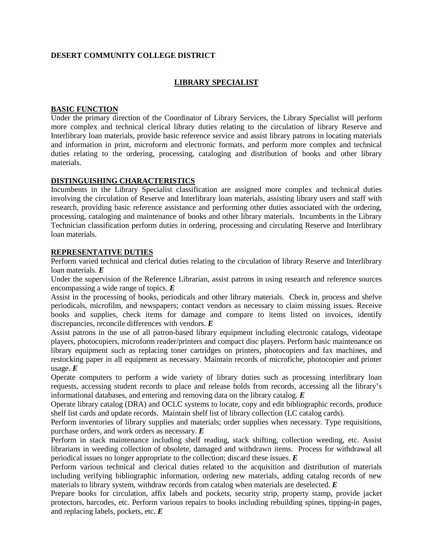# **DESERT COMMUNITY COLLEGE DISTRICT**

## **LIBRARY SPECIALIST**

### **BASIC FUNCTION**

Under the primary direction of the Coordinator of Library Services, the Library Specialist will perform more complex and technical clerical library duties relating to the circulation of library Reserve and Interlibrary loan materials, provide basic reference service and assist library patrons in locating materials and information in print, microform and electronic formats, and perform more complex and technical duties relating to the ordering, processing, cataloging and distribution of books and other library materials.

### **DISTINGUISHING CHARACTERISTICS**

Incumbents in the Library Specialist classification are assigned more complex and technical duties involving the circulation of Reserve and Interlibrary loan materials, assisting library users and staff with research, providing basic reference assistance and performing other duties associated with the ordering, processing, cataloging and maintenance of books and other library materials. Incumbents in the Library Technician classification perform duties in ordering, processing and circulating Reserve and Interlibrary loan materials.

### **REPRESENTATIVE DUTIES**

Perform varied technical and clerical duties relating to the circulation of library Reserve and Interlibrary loan materials. *E*

Under the supervision of the Reference Librarian, assist patrons in using research and reference sources encompassing a wide range of topics. *E*

Assist in the processing of books, periodicals and other library materials. Check in, process and shelve periodicals, microfilm, and newspapers; contact vendors as necessary to claim missing issues. Receive books and supplies, check items for damage and compare to items listed on invoices, identify discrepancies, reconcile differences with vendors. *E*

Assist patrons in the use of all patron-based library equipment including electronic catalogs, videotape players, photocopiers, microform reader/printers and compact disc players. Perform basic maintenance on library equipment such as replacing toner cartridges on printers, photocopiers and fax machines, and restocking paper in all equipment as necessary. Maintain records of microfiche, photocopier and printer usage. *E*

Operate computers to perform a wide variety of library duties such as processing interlibrary loan requests, accessing student records to place and release holds from records, accessing all the library's informational databases, and entering and removing data on the library catalog. *E*

Operate library catalog (DRA) and OCLC systems to locate, copy and edit bibliographic records, produce shelf list cards and update records. Maintain shelf list of library collection (LC catalog cards).

Perform inventories of library supplies and materials; order supplies when necessary. Type requisitions, purchase orders, and work orders as necessary. *E*

Perform in stack maintenance including shelf reading, stack shifting, collection weeding, etc. Assist librarians in weeding collection of obsolete, damaged and withdrawn items. Process for withdrawal all periodical issues no longer appropriate to the collection; discard these issues. *E*

Perform various technical and clerical duties related to the acquisition and distribution of materials including verifying bibliographic information, ordering new materials, adding catalog records of new materials to library system, withdraw records from catalog when materials are deselected. *E*

Prepare books for circulation, affix labels and pockets, security strip, property stamp, provide jacket protectors, barcodes, etc. Perform various repairs to books including rebuilding spines, tipping-in pages, and replacing labels, pockets, etc. *E*